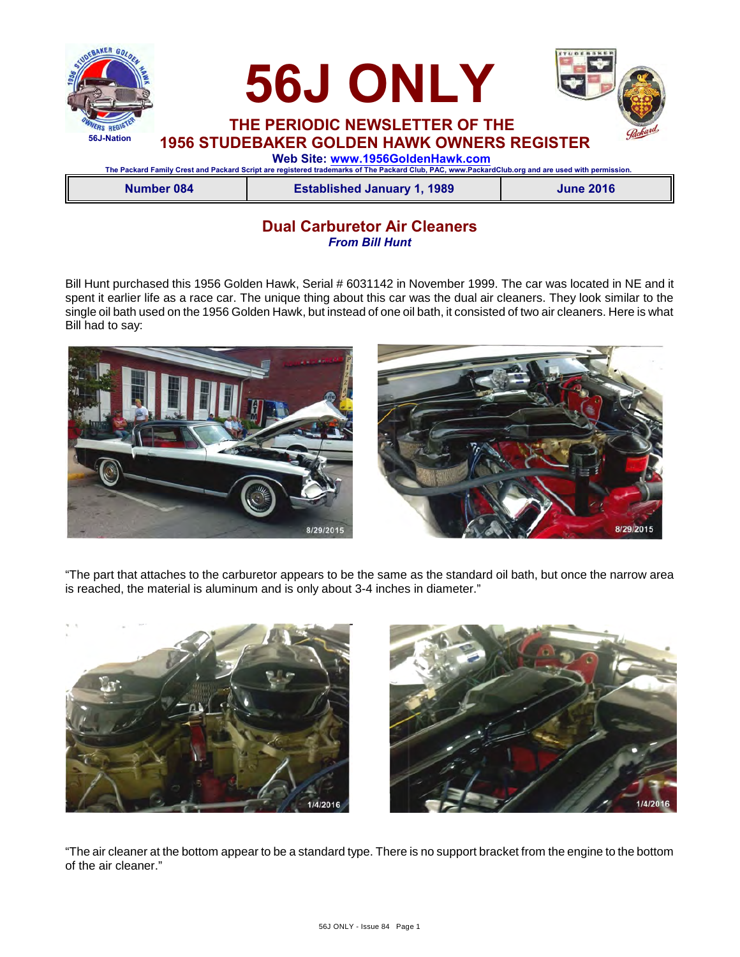

**Dual Carburetor Air Cleaners** *From Bill Hunt*

Bill Hunt purchased this 1956 Golden Hawk, Serial # 6031142 in November 1999. The car was located in NE and it spent it earlier life as a race car. The unique thing about this car was the dual air cleaners. They look similar to the single oil bath used on the 1956 Golden Hawk, but instead of one oil bath, it consisted of two air cleaners. Here is what Bill had to say:



"The part that attaches to the carburetor appears to be the same as the standard oil bath, but once the narrow area is reached, the material is aluminum and is only about 3-4 inches in diameter."





"The air cleaner at the bottom appear to be a standard type. There is no support bracket from the engine to the bottom of the air cleaner."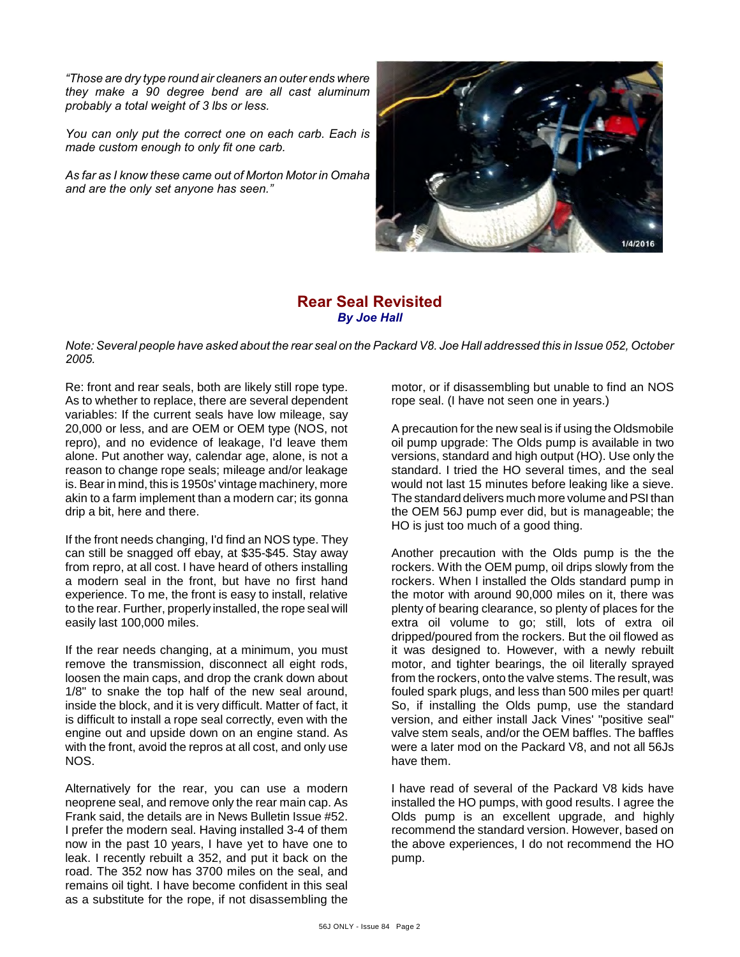*"Those are dry type round air cleaners an outer ends where they make a 90 degree bend are all cast aluminum probably a total weight of 3 lbs or less.* 

*You can only put the correct one on each carb. Each is made custom enough to only fit one carb.* 

*As far as I know these came out of Morton Motor in Omaha and are the only set anyone has seen."*



#### **Rear Seal Revisited** *By Joe Hall*

*Note: Several people have asked about the rear seal on the Packard V8. Joe Hall addressed this in Issue 052, October 2005.*

Re: front and rear seals, both are likely still rope type. As to whether to replace, there are several dependent variables: If the current seals have low mileage, say 20,000 or less, and are OEM or OEM type (NOS, not repro), and no evidence of leakage, I'd leave them alone. Put another way, calendar age, alone, is not a reason to change rope seals; mileage and/or leakage is. Bear in mind, this is 1950s' vintage machinery, more akin to a farm implement than a modern car; its gonna drip a bit, here and there.

If the front needs changing, I'd find an NOS type. They can still be snagged off ebay, at \$35-\$45. Stay away from repro, at all cost. I have heard of others installing a modern seal in the front, but have no first hand experience. To me, the front is easy to install, relative to the rear. Further, properly installed, the rope seal will easily last 100,000 miles.

If the rear needs changing, at a minimum, you must remove the transmission, disconnect all eight rods, loosen the main caps, and drop the crank down about 1/8" to snake the top half of the new seal around, inside the block, and it is very difficult. Matter of fact, it is difficult to install a rope seal correctly, even with the engine out and upside down on an engine stand. As with the front, avoid the repros at all cost, and only use NOS.

Alternatively for the rear, you can use a modern neoprene seal, and remove only the rear main cap. As Frank said, the details are in News Bulletin Issue #52. I prefer the modern seal. Having installed 3-4 of them now in the past 10 years, I have yet to have one to leak. I recently rebuilt a 352, and put it back on the road. The 352 now has 3700 miles on the seal, and remains oil tight. I have become confident in this seal as a substitute for the rope, if not disassembling the motor, or if disassembling but unable to find an NOS rope seal. (I have not seen one in years.)

A precaution for the new seal is if using the Oldsmobile oil pump upgrade: The Olds pump is available in two versions, standard and high output (HO). Use only the standard. I tried the HO several times, and the seal would not last 15 minutes before leaking like a sieve. The standard delivers much more volume and PSI than the OEM 56J pump ever did, but is manageable; the HO is just too much of a good thing.

Another precaution with the Olds pump is the the rockers. With the OEM pump, oil drips slowly from the rockers. When I installed the Olds standard pump in the motor with around 90,000 miles on it, there was plenty of bearing clearance, so plenty of places for the extra oil volume to go; still, lots of extra oil dripped/poured from the rockers. But the oil flowed as it was designed to. However, with a newly rebuilt motor, and tighter bearings, the oil literally sprayed from the rockers, onto the valve stems. The result, was fouled spark plugs, and less than 500 miles per quart! So, if installing the Olds pump, use the standard version, and either install Jack Vines' "positive seal" valve stem seals, and/or the OEM baffles. The baffles were a later mod on the Packard V8, and not all 56Js have them.

I have read of several of the Packard V8 kids have installed the HO pumps, with good results. I agree the Olds pump is an excellent upgrade, and highly recommend the standard version. However, based on the above experiences, I do not recommend the HO pump.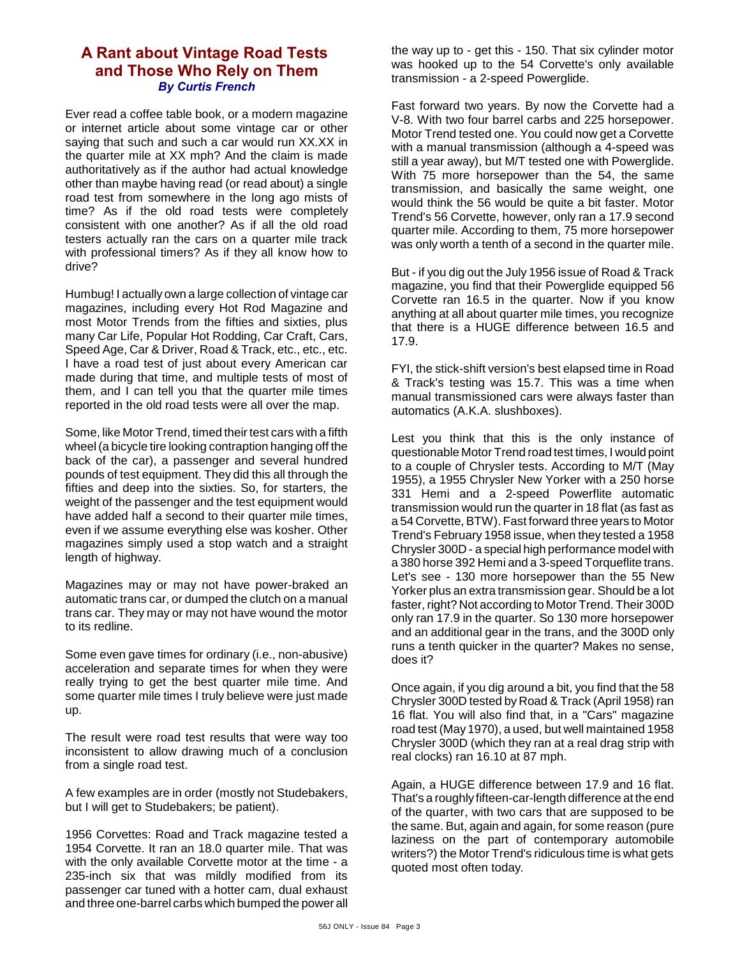### **A Rant about Vintage Road Tests and Those Who Rely on Them** *By Curtis French*

Ever read a coffee table book, or a modern magazine or internet article about some vintage car or other saying that such and such a car would run XX.XX in the quarter mile at XX mph? And the claim is made authoritatively as if the author had actual knowledge other than maybe having read (or read about) a single road test from somewhere in the long ago mists of time? As if the old road tests were completely consistent with one another? As if all the old road testers actually ran the cars on a quarter mile track with professional timers? As if they all know how to drive?

Humbug! I actually own a large collection of vintage car magazines, including every Hot Rod Magazine and most Motor Trends from the fifties and sixties, plus many Car Life, Popular Hot Rodding, Car Craft, Cars, Speed Age, Car & Driver, Road & Track, etc., etc., etc. I have a road test of just about every American car made during that time, and multiple tests of most of them, and I can tell you that the quarter mile times reported in the old road tests were all over the map.

Some, like Motor Trend, timed their test cars with a fifth wheel (a bicycle tire looking contraption hanging off the back of the car), a passenger and several hundred pounds of test equipment. They did this all through the fifties and deep into the sixties. So, for starters, the weight of the passenger and the test equipment would have added half a second to their quarter mile times, even if we assume everything else was kosher. Other magazines simply used a stop watch and a straight length of highway.

Magazines may or may not have power-braked an automatic trans car, or dumped the clutch on a manual trans car. They may or may not have wound the motor to its redline.

Some even gave times for ordinary (i.e., non-abusive) acceleration and separate times for when they were really trying to get the best quarter mile time. And some quarter mile times I truly believe were just made up.

The result were road test results that were way too inconsistent to allow drawing much of a conclusion from a single road test.

A few examples are in order (mostly not Studebakers, but I will get to Studebakers; be patient).

1956 Corvettes: Road and Track magazine tested a 1954 Corvette. It ran an 18.0 quarter mile. That was with the only available Corvette motor at the time - a 235-inch six that was mildly modified from its passenger car tuned with a hotter cam, dual exhaust and three one-barrel carbs which bumped the power all the way up to - get this - 150. That six cylinder motor was hooked up to the 54 Corvette's only available transmission - a 2-speed Powerglide.

Fast forward two years. By now the Corvette had a V-8. With two four barrel carbs and 225 horsepower. Motor Trend tested one. You could now get a Corvette with a manual transmission (although a 4-speed was still a year away), but M/T tested one with Powerglide. With 75 more horsepower than the 54, the same transmission, and basically the same weight, one would think the 56 would be quite a bit faster. Motor Trend's 56 Corvette, however, only ran a 17.9 second quarter mile. According to them, 75 more horsepower was only worth a tenth of a second in the quarter mile.

But - if you dig out the July 1956 issue of Road & Track magazine, you find that their Powerglide equipped 56 Corvette ran 16.5 in the quarter. Now if you know anything at all about quarter mile times, you recognize that there is a HUGE difference between 16.5 and 17.9.

FYI, the stick-shift version's best elapsed time in Road & Track's testing was 15.7. This was a time when manual transmissioned cars were always faster than automatics (A.K.A. slushboxes).

Lest you think that this is the only instance of questionable Motor Trend road test times, I would point to a couple of Chrysler tests. According to M/T (May 1955), a 1955 Chrysler New Yorker with a 250 horse 331 Hemi and a 2-speed Powerflite automatic transmission would run the quarter in 18 flat (as fast as a 54 Corvette, BTW). Fast forward three years to Motor Trend's February 1958 issue, when they tested a 1958 Chrysler 300D - a special high performance model with a 380 horse 392 Hemi and a 3-speed Torqueflite trans. Let's see - 130 more horsepower than the 55 New Yorker plus an extra transmission gear. Should be a lot faster, right? Not according to Motor Trend. Their 300D only ran 17.9 in the quarter. So 130 more horsepower and an additional gear in the trans, and the 300D only runs a tenth quicker in the quarter? Makes no sense, does it?

Once again, if you dig around a bit, you find that the 58 Chrysler 300D tested by Road & Track (April 1958) ran 16 flat. You will also find that, in a "Cars" magazine road test (May 1970), a used, but well maintained 1958 Chrysler 300D (which they ran at a real drag strip with real clocks) ran 16.10 at 87 mph.

Again, a HUGE difference between 17.9 and 16 flat. That's a roughly fifteen-car-length difference at the end of the quarter, with two cars that are supposed to be the same. But, again and again, for some reason (pure laziness on the part of contemporary automobile writers?) the Motor Trend's ridiculous time is what gets quoted most often today.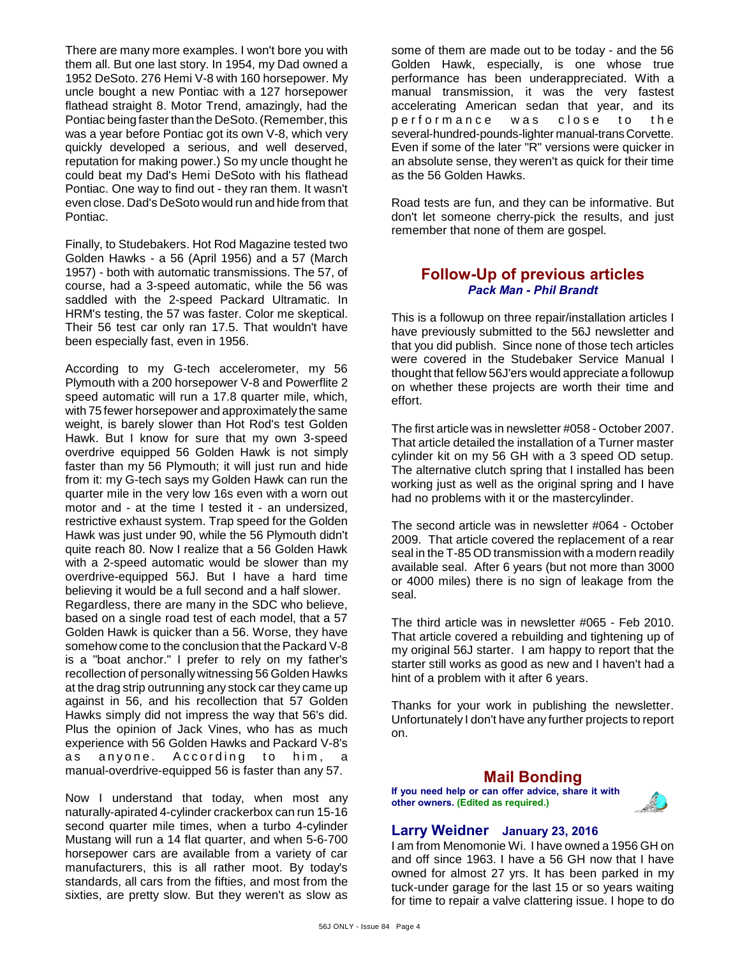There are many more examples. I won't bore you with them all. But one last story. In 1954, my Dad owned a 1952 DeSoto. 276 Hemi V-8 with 160 horsepower. My uncle bought a new Pontiac with a 127 horsepower flathead straight 8. Motor Trend, amazingly, had the Pontiac being faster than the DeSoto. (Remember, this was a year before Pontiac got its own V-8, which very quickly developed a serious, and well deserved, reputation for making power.) So my uncle thought he could beat my Dad's Hemi DeSoto with his flathead Pontiac. One way to find out - they ran them. It wasn't even close. Dad's DeSoto would run and hide from that Pontiac.

Finally, to Studebakers. Hot Rod Magazine tested two Golden Hawks - a 56 (April 1956) and a 57 (March 1957) - both with automatic transmissions. The 57, of course, had a 3-speed automatic, while the 56 was saddled with the 2-speed Packard Ultramatic. In HRM's testing, the 57 was faster. Color me skeptical. Their 56 test car only ran 17.5. That wouldn't have been especially fast, even in 1956.

According to my G-tech accelerometer, my 56 Plymouth with a 200 horsepower V-8 and Powerflite 2 speed automatic will run a 17.8 quarter mile, which, with 75 fewer horsepower and approximately the same weight, is barely slower than Hot Rod's test Golden Hawk. But I know for sure that my own 3-speed overdrive equipped 56 Golden Hawk is not simply faster than my 56 Plymouth; it will just run and hide from it: my G-tech says my Golden Hawk can run the quarter mile in the very low 16s even with a worn out motor and - at the time I tested it - an undersized, restrictive exhaust system. Trap speed for the Golden Hawk was just under 90, while the 56 Plymouth didn't quite reach 80. Now I realize that a 56 Golden Hawk with a 2-speed automatic would be slower than my overdrive-equipped 56J. But I have a hard time believing it would be a full second and a half slower. Regardless, there are many in the SDC who believe, based on a single road test of each model, that a 57 Golden Hawk is quicker than a 56. Worse, they have somehow come to the conclusion that the Packard V-8 is a "boat anchor." I prefer to rely on my father's recollection of personally witnessing 56 Golden Hawks at the drag strip outrunning any stock car they came up against in 56, and his recollection that 57 Golden Hawks simply did not impress the way that 56's did. Plus the opinion of Jack Vines, who has as much experience with 56 Golden Hawks and Packard V-8's as anyone. According to him, a manual-overdrive-equipped 56 is faster than any 57.

Now I understand that today, when most any naturally-apirated 4-cylinder crackerbox can run 15-16 second quarter mile times, when a turbo 4-cylinder Mustang will run a 14 flat quarter, and when 5-6-700 horsepower cars are available from a variety of car manufacturers, this is all rather moot. By today's standards, all cars from the fifties, and most from the sixties, are pretty slow. But they weren't as slow as

some of them are made out to be today - and the 56 Golden Hawk, especially, is one whose true performance has been underappreciated. With a manual transmission, it was the very fastest accelerating American sedan that year, and its performance was close to the several-hundred-pounds-lighter manual-trans Corvette. Even if some of the later "R" versions were quicker in an absolute sense, they weren't as quick for their time as the 56 Golden Hawks.

Road tests are fun, and they can be informative. But don't let someone cherry-pick the results, and just remember that none of them are gospel.

### **Follow-Up of previous articles** *Pack Man - Phil Brandt*

This is a followup on three repair/installation articles I have previously submitted to the 56J newsletter and that you did publish. Since none of those tech articles were covered in the Studebaker Service Manual I thought that fellow 56J'ers would appreciate a followup on whether these projects are worth their time and effort.

The first article was in newsletter #058 - October 2007. That article detailed the installation of a Turner master cylinder kit on my 56 GH with a 3 speed OD setup. The alternative clutch spring that I installed has been working just as well as the original spring and I have had no problems with it or the mastercylinder.

The second article was in newsletter #064 - October 2009. That article covered the replacement of a rear seal in the T-85 OD transmission with a modern readily available seal. After 6 years (but not more than 3000 or 4000 miles) there is no sign of leakage from the seal.

The third article was in newsletter #065 - Feb 2010. That article covered a rebuilding and tightening up of my original 56J starter. I am happy to report that the starter still works as good as new and I haven't had a hint of a problem with it after 6 years.

Thanks for your work in publishing the newsletter. Unfortunately I don't have any further projects to report on.

### **Mail Bonding**

**If you need help or can offer advice, share it with other owners. (Edited as required.)**



### **Larry Weidner January 23, 2016**

I am from Menomonie Wi. I have owned a 1956 GH on and off since 1963. I have a 56 GH now that I have owned for almost 27 yrs. It has been parked in my tuck-under garage for the last 15 or so years waiting for time to repair a valve clattering issue. I hope to do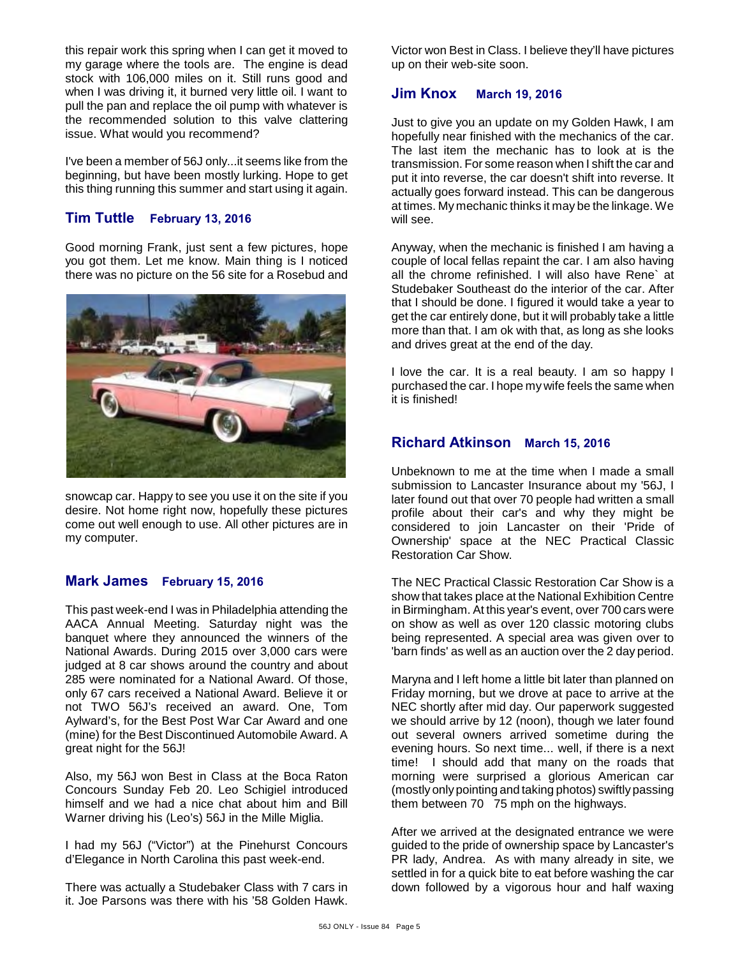this repair work this spring when I can get it moved to my garage where the tools are. The engine is dead stock with 106,000 miles on it. Still runs good and when I was driving it, it burned very little oil. I want to pull the pan and replace the oil pump with whatever is the recommended solution to this valve clattering issue. What would you recommend?

I've been a member of 56J only...it seems like from the beginning, but have been mostly lurking. Hope to get this thing running this summer and start using it again.

### **Tim Tuttle February 13, 2016**

Good morning Frank, just sent a few pictures, hope you got them. Let me know. Main thing is I noticed there was no picture on the 56 site for a Rosebud and



snowcap car. Happy to see you use it on the site if you desire. Not home right now, hopefully these pictures come out well enough to use. All other pictures are in my computer.

#### **Mark James February 15, 2016**

This past week-end I was in Philadelphia attending the AACA Annual Meeting. Saturday night was the banquet where they announced the winners of the National Awards. During 2015 over 3,000 cars were judged at 8 car shows around the country and about 285 were nominated for a National Award. Of those, only 67 cars received a National Award. Believe it or not TWO 56J's received an award. One, Tom Aylward's, for the Best Post War Car Award and one (mine) for the Best Discontinued Automobile Award. A great night for the 56J!

Also, my 56J won Best in Class at the Boca Raton Concours Sunday Feb 20. Leo Schigiel introduced himself and we had a nice chat about him and Bill Warner driving his (Leo's) 56J in the Mille Miglia.

I had my 56J ("Victor") at the Pinehurst Concours d'Elegance in North Carolina this past week-end.

There was actually a Studebaker Class with 7 cars in it. Joe Parsons was there with his '58 Golden Hawk.

Victor won Best in Class. I believe they'll have pictures up on their web-site soon.

#### **Jim Knox March 19, 2016**

Just to give you an update on my Golden Hawk, I am hopefully near finished with the mechanics of the car. The last item the mechanic has to look at is the transmission. For some reason when I shift the car and put it into reverse, the car doesn't shift into reverse. It actually goes forward instead. This can be dangerous at times. My mechanic thinks it may be the linkage. We will see.

Anyway, when the mechanic is finished I am having a couple of local fellas repaint the car. I am also having all the chrome refinished. I will also have Rene` at Studebaker Southeast do the interior of the car. After that I should be done. I figured it would take a year to get the car entirely done, but it will probably take a little more than that. I am ok with that, as long as she looks and drives great at the end of the day.

I love the car. It is a real beauty. I am so happy I purchased the car. I hope my wife feels the same when it is finished!

#### **Richard Atkinson March 15, 2016**

Unbeknown to me at the time when I made a small submission to Lancaster Insurance about my '56J, I later found out that over 70 people had written a small profile about their car's and why they might be considered to join Lancaster on their 'Pride of Ownership' space at the NEC Practical Classic Restoration Car Show.

The NEC Practical Classic Restoration Car Show is a show that takes place at the National Exhibition Centre in Birmingham. At this year's event, over 700 cars were on show as well as over 120 classic motoring clubs being represented. A special area was given over to 'barn finds' as well as an auction over the 2 day period.

Maryna and I left home a little bit later than planned on Friday morning, but we drove at pace to arrive at the NEC shortly after mid day. Our paperwork suggested we should arrive by 12 (noon), though we later found out several owners arrived sometime during the evening hours. So next time... well, if there is a next time! I should add that many on the roads that morning were surprised a glorious American car (mostly only pointing and taking photos) swiftly passing them between 70 75 mph on the highways.

After we arrived at the designated entrance we were guided to the pride of ownership space by Lancaster's PR lady, Andrea. As with many already in site, we settled in for a quick bite to eat before washing the car down followed by a vigorous hour and half waxing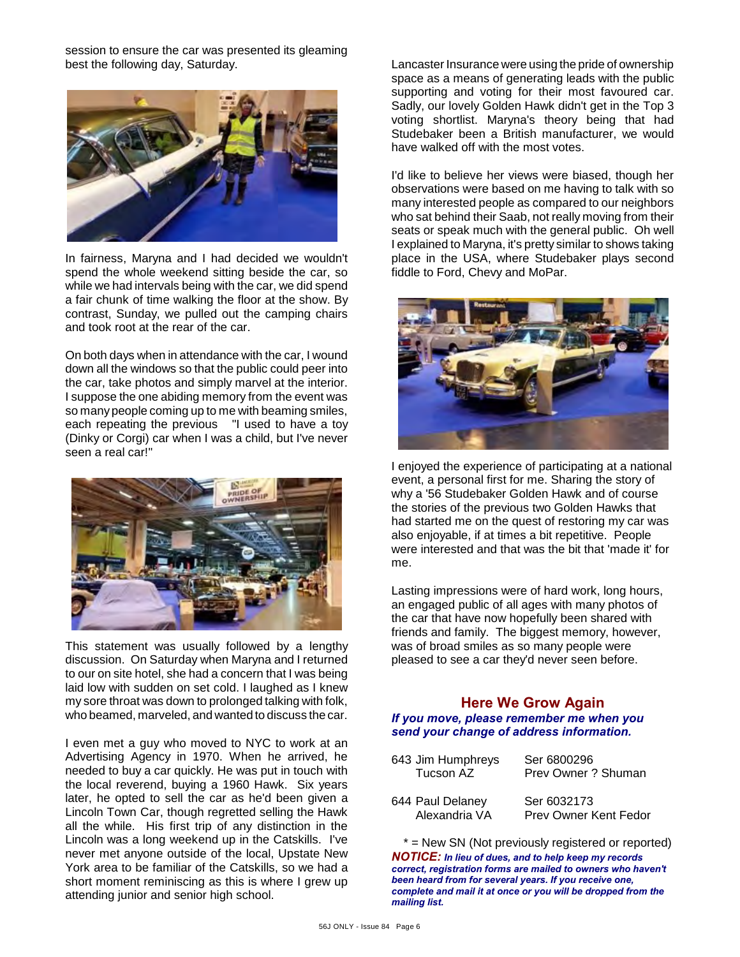session to ensure the car was presented its gleaming best the following day, Saturday.



In fairness, Maryna and I had decided we wouldn't spend the whole weekend sitting beside the car, so while we had intervals being with the car, we did spend a fair chunk of time walking the floor at the show. By contrast, Sunday, we pulled out the camping chairs and took root at the rear of the car.

On both days when in attendance with the car, I wound down all the windows so that the public could peer into the car, take photos and simply marvel at the interior. I suppose the one abiding memory from the event was so many people coming up to me with beaming smiles, each repeating the previous "I used to have a toy (Dinky or Corgi) car when I was a child, but I've never seen a real car!"



This statement was usually followed by a lengthy discussion. On Saturday when Maryna and I returned to our on site hotel, she had a concern that I was being laid low with sudden on set cold. I laughed as I knew my sore throat was down to prolonged talking with folk, who beamed, marveled, and wanted to discuss the car.

I even met a guy who moved to NYC to work at an Advertising Agency in 1970. When he arrived, he needed to buy a car quickly. He was put in touch with the local reverend, buying a 1960 Hawk. Six years later, he opted to sell the car as he'd been given a Lincoln Town Car, though regretted selling the Hawk all the while. His first trip of any distinction in the Lincoln was a long weekend up in the Catskills. I've never met anyone outside of the local, Upstate New York area to be familiar of the Catskills, so we had a short moment reminiscing as this is where I grew up attending junior and senior high school.

Lancaster Insurance were using the pride of ownership space as a means of generating leads with the public supporting and voting for their most favoured car. Sadly, our lovely Golden Hawk didn't get in the Top 3 voting shortlist. Maryna's theory being that had Studebaker been a British manufacturer, we would have walked off with the most votes.

I'd like to believe her views were biased, though her observations were based on me having to talk with so many interested people as compared to our neighbors who sat behind their Saab, not really moving from their seats or speak much with the general public. Oh well I explained to Maryna, it's pretty similar to shows taking place in the USA, where Studebaker plays second fiddle to Ford, Chevy and MoPar.



I enjoyed the experience of participating at a national event, a personal first for me. Sharing the story of why a '56 Studebaker Golden Hawk and of course the stories of the previous two Golden Hawks that had started me on the quest of restoring my car was also enjoyable, if at times a bit repetitive. People were interested and that was the bit that 'made it' for me.

Lasting impressions were of hard work, long hours, an engaged public of all ages with many photos of the car that have now hopefully been shared with friends and family. The biggest memory, however, was of broad smiles as so many people were pleased to see a car they'd never seen before.

#### **Here We Grow Again** *If you move, please remember me when you send your change of address information.*

| 643 Jim Humphreys<br>Tucson AZ    | Ser 6800296<br>Prev Owner ? Shuman   |
|-----------------------------------|--------------------------------------|
| 644 Paul Delaney<br>Alexandria VA | Ser 6032173<br>Prev Owner Kent Fedor |

\* = New SN (Not previously registered or reported) *NOTICE: In lieu of dues, and to help keep my records correct, registration forms are mailed to owners who haven't been heard from for several years. If you receive one, complete and mail it at once or you will be dropped from the mailing list.*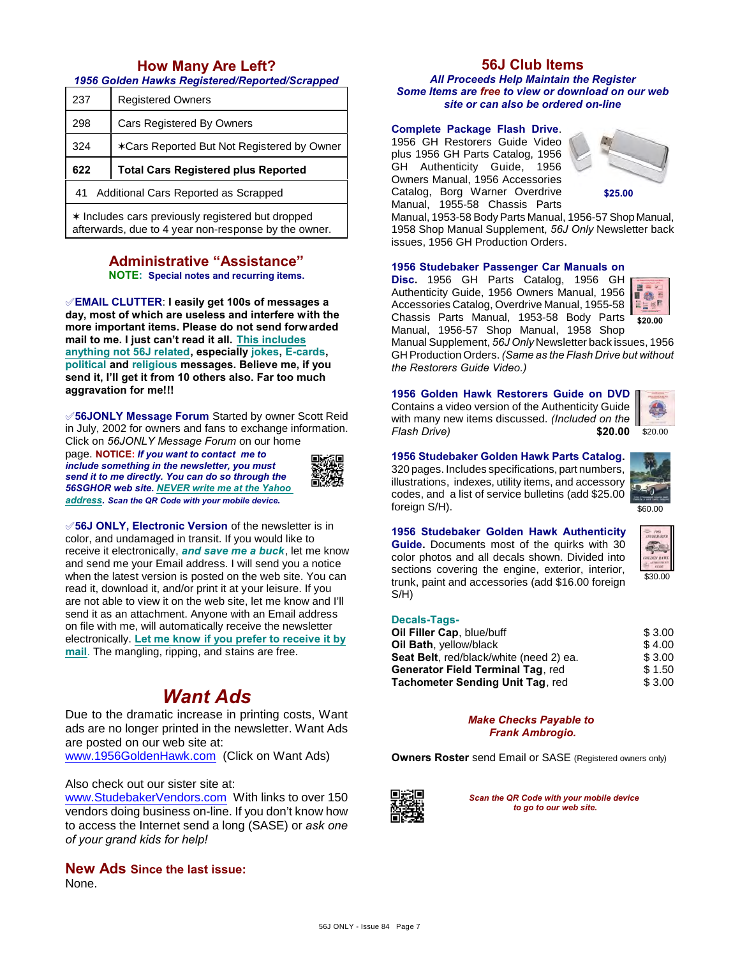### **How Many Are Left?**

#### *1956 Golden Hawks Registered/Reported/Scrapped*

| 237                                        | <b>Registered Owners</b>                   |  |  |  |
|--------------------------------------------|--------------------------------------------|--|--|--|
| 298                                        | <b>Cars Registered By Owners</b>           |  |  |  |
| 324                                        | *Cars Reported But Not Registered by Owner |  |  |  |
| 622                                        | <b>Total Cars Registered plus Reported</b> |  |  |  |
| Additional Cars Reported as Scrapped<br>41 |                                            |  |  |  |
|                                            |                                            |  |  |  |

 $*$  Includes cars previously registered but dropped afterwards, due to 4 year non-response by the owner.

#### **Administrative "Assistance" NOTE: Special notes and recurring items.**

°**EMAIL CLUTTER**: **I easily get 100s of messages a day, most of which are useless and interfere with the more important items. Please do not send forwarded mail to me. I just can't read it all. This includes anything not 56J related, especially jokes, E-cards, political and religious messages. Believe me, if you send it, I'll get it from 10 others also. Far too much aggravation for me!!!**

°**56JONLY Message Forum** Started by owner Scott Reid in July, 2002 for owners and fans to exchange information. Click on *56JONLY Message Forum* on our home

page. **NOTICE:** *If you want to contact me to include something in the newsletter, you must send it to me directly. You can do so through the 56SGHOR web site. NEVER write me at the Yahoo address. Scan the QR Code with your mobile device.* 



°**56J ONLY, Electronic Version** of the newsletter is in color, and undamaged in transit. If you would like to receive it electronically, *and save me a buck*, let me know and send me your Email address. I will send you a notice when the latest version is posted on the web site. You can read it, download it, and/or print it at your leisure. If you are not able to view it on the web site, let me know and I'll send it as an attachment. Anyone with an Email address on file with me, will automatically receive the newsletter electronically. **Let me know if you prefer to receive it by mail**. The mangling, ripping, and stains are free.

# *Want Ads*

Due to the dramatic increase in printing costs, Want ads are no longer printed in the newsletter. Want Ads are posted on our web site at:

[www.1956GoldenHawk.com](http://www.1956GoldenHawk.com) (Click on Want Ads)

Also check out our sister site at:

[www.StudebakerVendors.com](http://www.StudebakerVendors.com) With links to over 150 vendors doing business on-line. If you don't know how to access the Internet send a long (SASE) or *ask one of your grand kids for help!*

**New Ads Since the last issue:** None.

### **56J Club Items**

*All Proceeds Help Maintain the Register Some Items are free to view or download on our web site or can also be ordered on-line*

#### **Complete Package Flash Drive**.

1956 GH Restorers Guide Video plus 1956 GH Parts Catalog, 1956 GH Authenticity Guide, 1956 Owners Manual, 1956 Accessories Catalog, Borg Warner Overdrive Manual, 1955-58 Chassis Parts



**\$25.00**

Manual, 1953-58 Body Parts Manual, 1956-57 Shop Manual, 1958 Shop Manual Supplement, *56J Only* Newsletter back issues, 1956 GH Production Orders.

#### **1956 Studebaker Passenger Car Manuals on**

**Disc.** 1956 GH Parts Catalog, 1956 GH Authenticity Guide, 1956 Owners Manual, 1956 Accessories Catalog, Overdrive Manual, 1955-58 Chassis Parts Manual, 1953-58 Body Parts Manual, 1956-57 Shop Manual, 1958 Shop



Manual Supplement, *56J Only* Newsletter back issues, 1956 GH Production Orders. *(Same as the Flash Drive but without the Restorers Guide Video.)*

**1956 Golden Hawk Restorers Guide on DVD**

Contains a video version of the Authenticity Guide with many new items discussed. *(Included on the*  $Flash Drive)$ 



#### **1956 Studebaker Golden Hawk Parts Catalog.**

320 pages. Includes specifications, part numbers, illustrations, indexes, utility items, and accessory codes, and a list of service bulletins (add \$25.00 foreign S/H).



**1956 Studebaker Golden Hawk Authenticity Guide.** Documents most of the quirks with 30 color photos and all decals shown. Divided into sections covering the engine, exterior, interior, trunk, paint and accessories (add \$16.00 foreign S/H)



#### **Decals-Tags-**

| Oil Filler Cap, blue/buff               | \$3.00 |
|-----------------------------------------|--------|
| Oil Bath, yellow/black                  | \$4.00 |
| Seat Belt, red/black/white (need 2) ea. | \$3.00 |
| Generator Field Terminal Tag, red       | \$1.50 |
| Tachometer Sending Unit Tag, red        | \$3.00 |
|                                         |        |

*Make Checks Payable to Frank Ambrogio.*

**Owners Roster** send Email or SASE (Registered owners only)



*Scan the QR Code with your mobile device to go to our web site.*